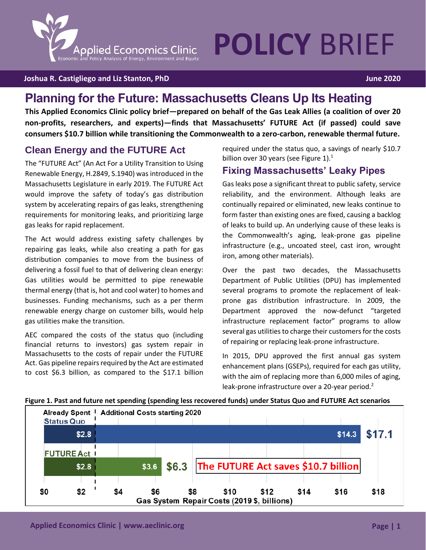

#### **Joshua R. Castigliego and Liz Stanton, PhD June 2020**

## **Planning for the Future: Massachusetts Cleans Up Its Heating**

**This Applied Economics Clinic policy brief—prepared on behalf of the Gas Leak Allies (a coalition of over 20 non-profits, researchers, and experts)—finds that Massachusetts' FUTURE Act (if passed) could save consumers \$10.7 billion while transitioning the Commonwealth to a zero-carbon, renewable thermal future.**

## **Clean Energy and the FUTURE Act**

The "FUTURE Act" (An Act For a Utility Transition to Using Renewable Energy, H.2849, S.1940) was introduced in the Massachusetts Legislature in early 2019. The FUTURE Act would improve the safety of today's gas distribution system by accelerating repairs of gas leaks, strengthening requirements for monitoring leaks, and prioritizing large gas leaks for rapid replacement.

The Act would address existing safety challenges by repairing gas leaks, while also creating a path for gas distribution companies to move from the business of delivering a fossil fuel to that of delivering clean energy: Gas utilities would be permitted to pipe renewable thermal energy (that is, hot and cool water) to homes and businesses. Funding mechanisms, such as a per therm renewable energy charge on customer bills, would help gas utilities make the transition.

AEC compared the costs of the status quo (including financial returns to investors) gas system repair in Massachusetts to the costs of repair under the FUTURE Act. Gas pipeline repairs required by the Act are estimated to cost \$6.3 billion, as compared to the \$17.1 billion required under the status quo, a savings of nearly \$10.7 billion over 30 years (see [Figure 1\)](#page-0-0). $<sup>1</sup>$ </sup>

### **Fixing Massachusetts' Leaky Pipes**

Gas leaks pose a significant threat to public safety, service reliability, and the environment. Although leaks are continually repaired or eliminated, new leaks continue to form faster than existing ones are fixed, causing a backlog of leaks to build up. An underlying cause of these leaks is the Commonwealth's aging, leak-prone gas pipeline infrastructure (e.g., uncoated steel, cast iron, wrought iron, among other materials).

Over the past two decades, the Massachusetts Department of Public Utilities (DPU) has implemented several programs to promote the replacement of leakprone gas distribution infrastructure. In 2009, the Department approved the now-defunct "targeted infrastructure replacement factor" programs to allow several gas utilities to charge their customers for the costs of repairing or replacing leak-prone infrastructure.

In 2015, DPU approved the first annual gas system enhancement plans (GSEPs), required for each gas utility, with the aim of replacing more than 6,000 miles of aging, leak-prone infrastructure over a 20-year period.<sup>2</sup>



#### <span id="page-0-0"></span>**Figure 1. Past and future net spending (spending less recovered funds) under Status Quo and FUTURE Act scenarios**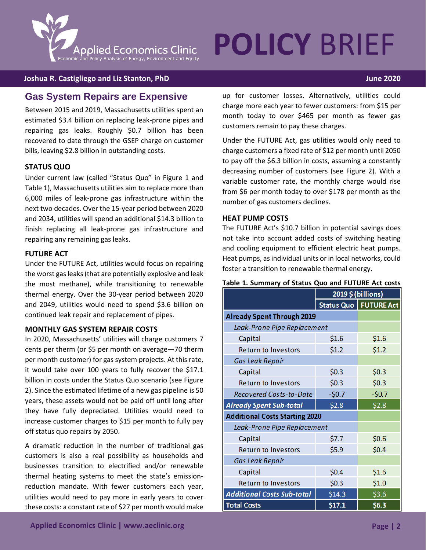

#### **Joshua R. Castigliego and Liz Stanton, PhD June 2020**

### **Gas System Repairs are Expensive**

Between 2015 and 2019, Massachusetts utilities spent an estimated \$3.4 billion on replacing leak-prone pipes and repairing gas leaks. Roughly \$0.7 billion has been recovered to date through the GSEP charge on customer bills, leaving \$2.8 billion in outstanding costs.

#### **STATUS QUO**

Under current law (called "Status Quo" in [Figure 1](#page-0-0) and [Table 1\)](#page-1-0), Massachusetts utilities aim to replace more than 6,000 miles of leak-prone gas infrastructure within the next two decades. Over the 15-year period between 2020 and 2034, utilities will spend an additional \$14.3 billion to finish replacing all leak-prone gas infrastructure and repairing any remaining gas leaks.

#### **FUTURE ACT**

Under the FUTURE Act, utilities would focus on repairing the worst gas leaks(that are potentially explosive and leak the most methane), while transitioning to renewable thermal energy. Over the 30-year period between 2020 and 2049, utilities would need to spend \$3.6 billion on continued leak repair and replacement of pipes.

#### **MONTHLY GAS SYSTEM REPAIR COSTS**

In 2020, Massachusetts' utilities will charge customers 7 cents per therm (or \$5 per month on average—70 therm per month customer) for gas system projects. At this rate, it would take over 100 years to fully recover the \$17.1 billion in costs under the Status Quo scenario (see [Figure](#page-2-0)  [2\)](#page-2-0). Since the estimated lifetime of a new gas pipeline is 50 years, these assets would not be paid off until long after they have fully depreciated. Utilities would need to increase customer charges to \$15 per month to fully pay off status quo repairs by 2050.

A dramatic reduction in the number of traditional gas customers is also a real possibility as households and businesses transition to electrified and/or renewable thermal heating systems to meet the state's emissionreduction mandate. With fewer customers each year, utilities would need to pay more in early years to cover these costs: a constant rate of \$27 per month would make

up for customer losses. Alternatively, utilities could charge more each year to fewer customers: from \$15 per month today to over \$465 per month as fewer gas customers remain to pay these charges.

Under the FUTURE Act, gas utilities would only need to charge customers a fixed rate of \$12 per month until 2050 to pay off the \$6.3 billion in costs, assuming a constantly decreasing number of customers (see [Figure 2\)](#page-2-0). With a variable customer rate, the monthly charge would rise from \$6 per month today to over \$178 per month as the number of gas customers declines.

#### **HEAT PUMP COSTS**

The FUTURE Act's \$10.7 billion in potential savings does not take into account added costs of switching heating and cooling equipment to efficient electric heat pumps. Heat pumps, as individual units or in local networks, could foster a transition to renewable thermal energy.

#### <span id="page-1-0"></span>**Table 1. Summary of Status Quo and FUTURE Act costs**

|                                       | 2019 \$ (billions) |                                |
|---------------------------------------|--------------------|--------------------------------|
|                                       |                    | <b>Status Quo   FUTURE Act</b> |
| <b>Already Spent Through 2019</b>     |                    |                                |
| Leak-Prone Pipe Replacement           |                    |                                |
| Capital                               | \$1.6              | \$1.6                          |
| <b>Return to Investors</b>            | \$1.2              | \$1.2                          |
| Gas Leak Repair                       |                    |                                |
| Capital                               | \$0.3\$            | \$0.3\$                        |
| <b>Return to Investors</b>            | \$0.3\$            | \$0.3\$                        |
| Recovered Costs-to-Date               | $-50.7$            | $-50.7$                        |
| <b>Already Spent Sub-total</b>        | \$2.8              | \$2.8                          |
| <b>Additional Costs Starting 2020</b> |                    |                                |
| Leak-Prone Pipe Replacement           |                    |                                |
| Capital                               | \$7.7              | \$0.6                          |
| <b>Return to Investors</b>            | \$5.9              | \$0.4\$                        |
| Gas Leak Repair                       |                    |                                |
| Capital                               | \$0.4\$            | \$1.6                          |
| <b>Return to Investors</b>            | \$0.3\$            | \$1.0                          |
| <b>Additional Costs Sub-total</b>     | \$14.3             | \$3.6                          |
| <b>Total Costs</b>                    | \$17.1             | \$6.3                          |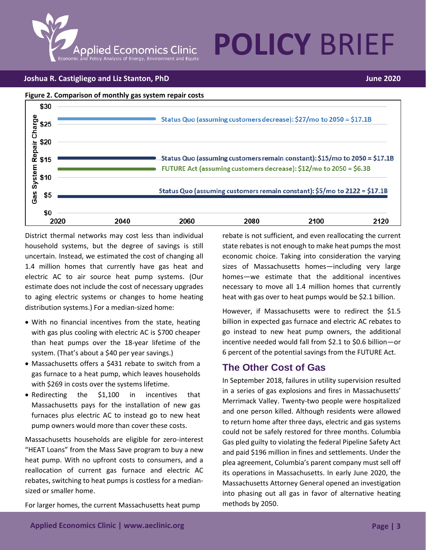

#### **Joshua R. Castigliego and Liz Stanton, PhD June 2020**

<span id="page-2-0"></span>

District thermal networks may cost less than individual household systems, but the degree of savings is still uncertain. Instead, we estimated the cost of changing all 1.4 million homes that currently have gas heat and electric AC to air source heat pump systems. (Our estimate does not include the cost of necessary upgrades to aging electric systems or changes to home heating distribution systems.) For a median-sized home:

- With no financial incentives from the state, heating with gas plus cooling with electric AC is \$700 cheaper than heat pumps over the 18-year lifetime of the system. (That's about a \$40 per year savings.)
- Massachusetts offers a \$431 rebate to switch from a gas furnace to a heat pump, which leaves households with \$269 in costs over the systems lifetime.
- Redirecting the \$1,100 in incentives that Massachusetts pays for the installation of new gas furnaces plus electric AC to instead go to new heat pump owners would more than cover these costs.

Massachusetts households are eligible for zero-interest "HEAT Loans" from the Mass Save program to buy a new heat pump. With no upfront costs to consumers, and a reallocation of current gas furnace and electric AC rebates, switching to heat pumps is costless for a mediansized or smaller home.

For larger homes, the current Massachusetts heat pump

rebate is not sufficient, and even reallocating the current state rebates is not enough to make heat pumps the most economic choice. Taking into consideration the varying sizes of Massachusetts homes—including very large homes—we estimate that the additional incentives necessary to move all 1.4 million homes that currently heat with gas over to heat pumps would be \$2.1 billion.

However, if Massachusetts were to redirect the \$1.5 billion in expected gas furnace and electric AC rebates to go instead to new heat pump owners, the additional incentive needed would fall from \$2.1 to \$0.6 billion—or 6 percent of the potential savings from the FUTURE Act.

## **The Other Cost of Gas**

In September 2018, failures in utility supervision resulted in a series of gas explosions and fires in Massachusetts' Merrimack Valley. Twenty-two people were hospitalized and one person killed. Although residents were allowed to return home after three days, electric and gas systems could not be safely restored for three months. Columbia Gas pled guilty to violating the federal Pipeline Safety Act and paid \$196 million in fines and settlements. Under the plea agreement, Columbia's parent company must sell off its operations in Massachusetts. In early June 2020, the Massachusetts Attorney General opened an investigation into phasing out all gas in favor of alternative heating methods by 2050.